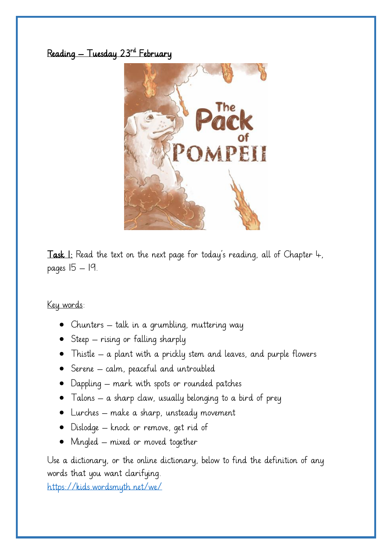## Reading — Tuesday 23<sup>rd</sup> February



**Task 1:** Read the text on the next page for today's reading, all of Chapter  $\downarrow$ , pages 15 – 19.

#### Key words:

- Chunters talk in a grumbling, muttering way
- Steep rising or falling sharply
- Thistle a plant with a prickly stem and leaves, and purple flowers
- Serene calm, peaceful and untroubled
- Dappling mark with spots or rounded patches
- Talons  $-$  a sharp claw, usually belonging to a bird of prey
- Lurches make a sharp, unsteady movement
- Dislodge knock or remove, get rid of
- Mingled mixed or moved together

Use a dictionary, or the online dictionary, below to find the definition of any words that you want clarifying.

<https://kids.wordsmyth.net/we/>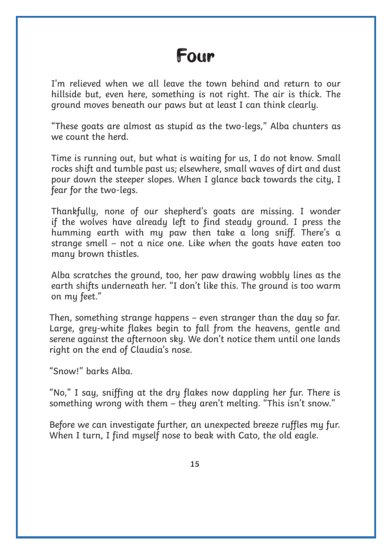# Four

I'm relieved when we all leave the town behind and return to our hillside but, even here, something is not right. The air is thick. The ground moves beneath our paws but at least I can think clearly.

"These goats are almost as stupid as the two-legs," Alba chunters as we count the herd.

Time is running out, but what is waiting for us, I do not know. Small rocks shift and tumble past us; elsewhere, small waves of dirt and dust pour down the steeper slopes. When I glance back towards the city, I fear for the two-legs.

Thankfully, none of our shepherd's goats are missing. I wonder if the wolves have already left to find steady ground. I press the humming earth with my paw then take a long sniff. There's a strange smell - not a nice one. Like when the goats have eaten too many brown thistles.

Alba scratches the ground, too, her paw drawing wobbly lines as the earth shifts underneath her. "I don't like this. The ground is too warm on my feet."

Then, something strange happens – even stranger than the day so far. Large, grey-white flakes begin to fall from the heavens, gentle and serene against the afternoon sky. We don't notice them until one lands right on the end of Claudia's nose.

"Snow!" barks Alba.

"No," I say, sniffing at the dry flakes now dappling her fur. There is something wrong with them - they aren't melting. "This isn't snow."

Before we can investigate further, an unexpected breeze ruffles my fur. When I turn, I find myself nose to beak with Cato, the old eagle.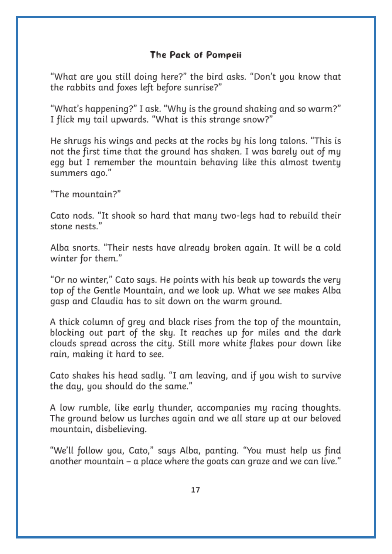### The Pack of Pompeii

"What are you still doing here?" the bird asks. "Don't you know that the rabbits and foxes left before sunrise?"

"What's happening?" I ask. "Why is the ground shaking and so warm?" I flick my tail upwards. "What is this strange snow?"

He shrugs his wings and pecks at the rocks by his long talons. "This is not the first time that the ground has shaken. I was barely out of my egg but I remember the mountain behaving like this almost twenty summers ago."

"The mountain?"

Cato nods. "It shook so hard that many two-legs had to rebuild their stone nests."

Alba snorts. "Their nests have already broken again. It will be a cold winter for them."

"Or no winter," Cato says. He points with his beak up towards the very top of the Gentle Mountain, and we look up. What we see makes Alba gasp and Claudia has to sit down on the warm ground.

A thick column of grey and black rises from the top of the mountain. blocking out part of the sky. It reaches up for miles and the dark clouds spread across the city. Still more white flakes pour down like rain, making it hard to see.

Cato shakes his head sadly. "I am leaving, and if you wish to survive the day, you should do the same."

A low rumble, like early thunder, accompanies my racing thoughts. The ground below us lurches again and we all stare up at our beloved mountain, disbelieving.

"We'll follow you, Cato," says Alba, panting. "You must help us find another mountain – a place where the goats can graze and we can live."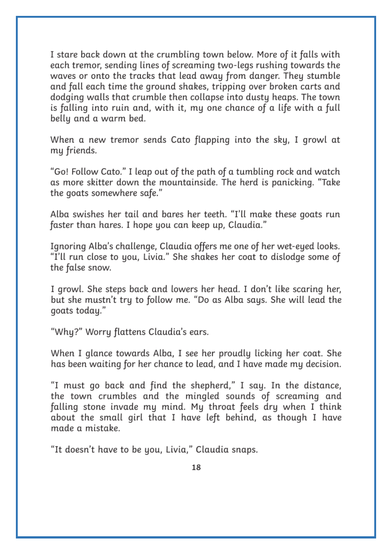I stare back down at the crumbling town below. More of it falls with each tremor, sending lines of screaming two-legs rushing towards the waves or onto the tracks that lead away from danger. They stumble and fall each time the ground shakes, tripping over broken carts and dodging walls that crumble then collapse into dusty heaps. The town is falling into ruin and, with it, my one chance of a life with a full belly and a warm bed.

When a new tremor sends Cato flapping into the sky, I growl at my friends.

"Go! Follow Cato." I leap out of the path of a tumbling rock and watch as more skitter down the mountainside. The herd is panicking. "Take the goats somewhere safe."

Alba swishes her tail and bares her teeth. "I'll make these goats run faster than hares. I hope you can keep up, Claudia."

Ignoring Alba's challenge, Claudia offers me one of her wet-eyed looks. "I'll run close to you, Livia." She shakes her coat to dislodge some of the false snow.

I growl. She steps back and lowers her head. I don't like scaring her, but she mustn't try to follow me. "Do as Alba says. She will lead the goats today."

"Why?" Worry flattens Claudia's ears.

When I glance towards Alba, I see her proudly licking her coat. She has been waiting for her chance to lead, and I have made my decision.

"I must go back and find the shepherd," I say. In the distance, the town crumbles and the mingled sounds of screaming and falling stone invade my mind. My throat feels dry when I think about the small girl that I have left behind, as though I have made a mistake.

"It doesn't have to be you, Livia," Claudia snaps.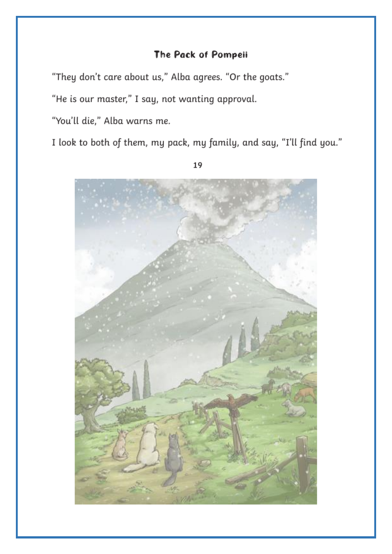### The Pack of Pompeii

"They don't care about us," Alba agrees. "Or the goats."

"He is our master," I say, not wanting approval.

"You'll die," Alba warns me.

I look to both of them, my pack, my family, and say, "I'll find you."



19